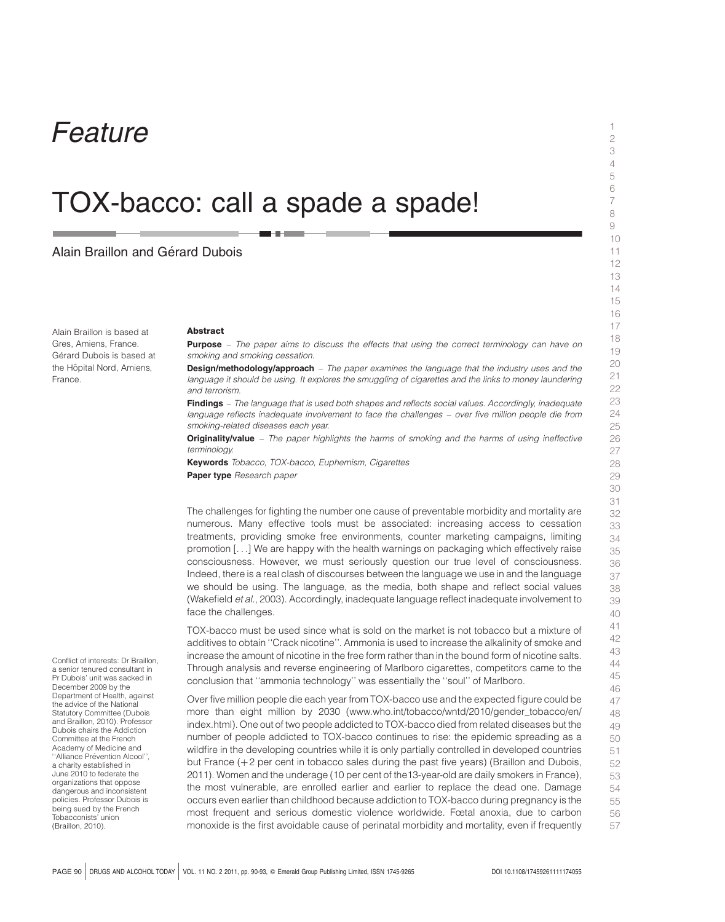## Feature

## TOX-bacco: call a spade a spade!

## Alain Braillon and Gérard Dubois

Alain Braillon is based at Gres, Amiens, France. Gérard Dubois is based at the Hôpital Nord, Amiens, France.

## Abstract

**Purpose** – The paper aims to discuss the effects that using the correct terminology can have on smoking and smoking cessation.

**Design/methodology/approach** – The paper examines the language that the industry uses and the language it should be using. It explores the smuggling of cigarettes and the links to money laundering and terrorism.

Findings – The language that is used both shapes and reflects social values. Accordingly, inadequate language reflects inadequate involvement to face the challenges – over five million people die from smoking-related diseases each year.

**Originality/value** – The paper highlights the harms of smoking and the harms of using ineffective terminology.

Keywords Tobacco, TOX-bacco, Euphemism, Cigarettes Paper type Research paper

The challenges for fighting the number one cause of preventable morbidity and mortality are numerous. Many effective tools must be associated: increasing access to cessation treatments, providing smoke free environments, counter marketing campaigns, limiting promotion [. . .] We are happy with the health warnings on packaging which effectively raise consciousness. However, we must seriously question our true level of consciousness. Indeed, there is a real clash of discourses between the language we use in and the language we should be using. The language, as the media, both shape and reflect social values (Wakefield et al., 2003). Accordingly, inadequate language reflect inadequate involvement to face the challenges.

TOX-bacco must be used since what is sold on the market is not tobacco but a mixture of additives to obtain ''Crack nicotine''. Ammonia is used to increase the alkalinity of smoke and increase the amount of nicotine in the free form rather than in the bound form of nicotine salts. Through analysis and reverse engineering of Marlboro cigarettes, competitors came to the conclusion that ''ammonia technology'' was essentially the ''soul'' of Marlboro.

Over five million people die each year from TOX-bacco use and the expected figure could be more than eight million by 2030 (www.who.int/tobacco/wntd/2010/gender\_tobacco/en/ index.html). One out of two people addicted to TOX-bacco died from related diseases but the number of people addicted to TOX-bacco continues to rise: the epidemic spreading as a wildfire in the developing countries while it is only partially controlled in developed countries but France (+2 per cent in tobacco sales during the past five years) (Braillon and Dubois, 2011). Women and the underage (10 per cent of the13-year-old are daily smokers in France), the most vulnerable, are enrolled earlier and earlier to replace the dead one. Damage occurs even earlier than childhood because addiction to TOX-bacco during pregnancy is the most frequent and serious domestic violence worldwide. Fœtal anoxia, due to carbon monoxide is the first avoidable cause of perinatal morbidity and mortality, even if frequently 47 48 49 50 51 52 53 54 55 56 57

Conflict of interests: Dr Braillon, a senior tenured consultant in Pr Dubois' unit was sacked in December 2009 by the Department of Health, against the advice of the National Statutory Committee (Dubois and Braillon, 2010). Professor Dubois chairs the Addiction Committee at the French Academy of Medicine and "Alliance Prévention Alcool", a charity established in June 2010 to federate the organizations that oppose dangerous and inconsistent policies. Professor Dubois is being sued by the French Tobacconists' union (Braillon, 2010).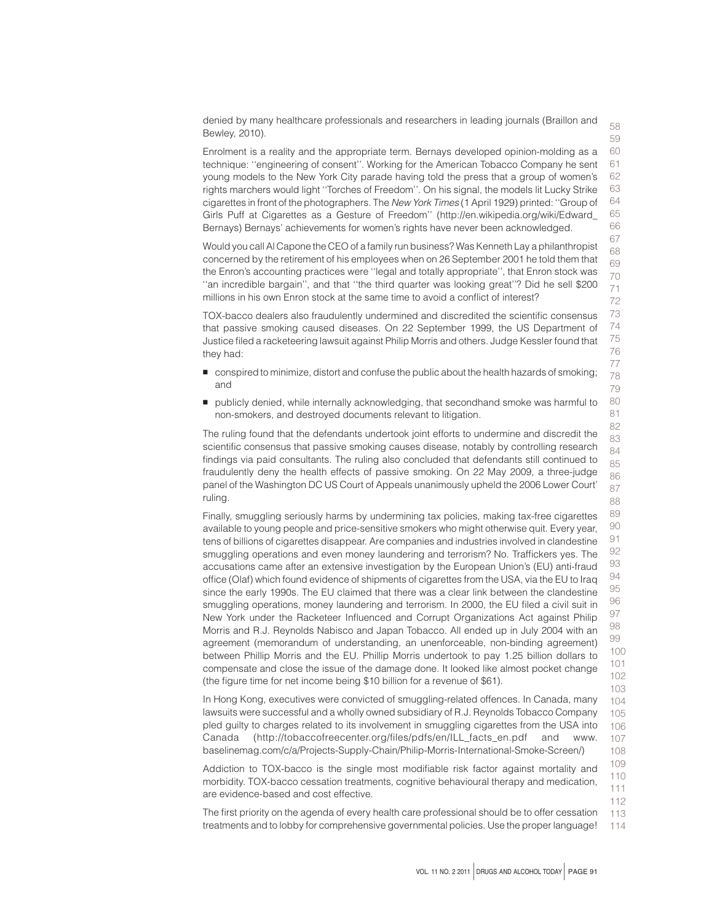denied by many healthcare professionals and researchers in leading journals (Braillon and Bewley, 2010). 58 59

Enrolment is a reality and the appropriate term. Bernays developed opinion-molding as a technique: ''engineering of consent''. Working for the American Tobacco Company he sent young models to the New York City parade having told the press that a group of women's rights marchers would light ''Torches of Freedom''. On his signal, the models lit Lucky Strike cigarettes in front of the photographers. The New York Times (1 April 1929) printed: ''Group of Girls Puff at Cigarettes as a Gesture of Freedom'' (http://en.wikipedia.org/wiki/Edward\_ Bernays) Bernays' achievements for women's rights have never been acknowledged. 60 61 62 63 64 65 66

Would you call Al Capone the CEO of a family run business? Was Kenneth Lay a philanthropist concerned by the retirement of his employees when on 26 September 2001 he told them that the Enron's accounting practices were ''legal and totally appropriate'', that Enron stock was ''an incredible bargain'', and that ''the third quarter was looking great''? Did he sell \$200 millions in his own Enron stock at the same time to avoid a conflict of interest? 67 68 69 70 71 72

TOX-bacco dealers also fraudulently undermined and discredited the scientific consensus that passive smoking caused diseases. On 22 September 1999, the US Department of Justice filed a racketeering lawsuit against Philip Morris and others. Judge Kessler found that they had: 73 74 75 76 77

- **B** conspired to minimize, distort and confuse the public about the health hazards of smoking; and 78 79
- **B** publicly denied, while internally acknowledging, that secondhand smoke was harmful to non-smokers, and destroyed documents relevant to litigation. 80 81 82

The ruling found that the defendants undertook joint efforts to undermine and discredit the scientific consensus that passive smoking causes disease, notably by controlling research findings via paid consultants. The ruling also concluded that defendants still continued to fraudulently deny the health effects of passive smoking. On 22 May 2009, a three-judge panel of the Washington DC US Court of Appeals unanimously upheld the 2006 Lower Court' ruling. 83 84 85 86 87 88

Finally, smuggling seriously harms by undermining tax policies, making tax-free cigarettes available to young people and price-sensitive smokers who might otherwise quit. Every year, tens of billions of cigarettes disappear. Are companies and industries involved in clandestine smuggling operations and even money laundering and terrorism? No. Traffickers yes. The accusations came after an extensive investigation by the European Union's (EU) anti-fraud office (Olaf) which found evidence of shipments of cigarettes from the USA, via the EU to Iraq since the early 1990s. The EU claimed that there was a clear link between the clandestine smuggling operations, money laundering and terrorism. In 2000, the EU filed a civil suit in New York under the Racketeer Influenced and Corrupt Organizations Act against Philip Morris and R.J. Reynolds Nabisco and Japan Tobacco. All ended up in July 2004 with an agreement (memorandum of understanding, an unenforceable, non-binding agreement) between Phillip Morris and the EU. Phillip Morris undertook to pay 1.25 billion dollars to compensate and close the issue of the damage done. It looked like almost pocket change (the figure time for net income being \$10 billion for a revenue of \$61). 89 90 91 92 93 94 95 96 97 98 99 100 101 102 103

In Hong Kong, executives were convicted of smuggling-related offences. In Canada, many lawsuits were successful and a wholly owned subsidiary of R.J. Reynolds Tobacco Company pled guilty to charges related to its involvement in smuggling cigarettes from the USA into Canada (http://tobaccofreecenter.org/files/pdfs/en/ILL\_facts\_en.pdf and www. baselinemag.com/c/a/Projects-Supply-Chain/Philip-Morris-International-Smoke-Screen/) 104 105 106 107 108

Addiction to TOX-bacco is the single most modifiable risk factor against mortality and morbidity. TOX-bacco cessation treatments, cognitive behavioural therapy and medication, are evidence-based and cost effective. 109 110 111 112

The first priority on the agenda of every health care professional should be to offer cessation treatments and to lobby for comprehensive governmental policies. Use the proper language! 113 114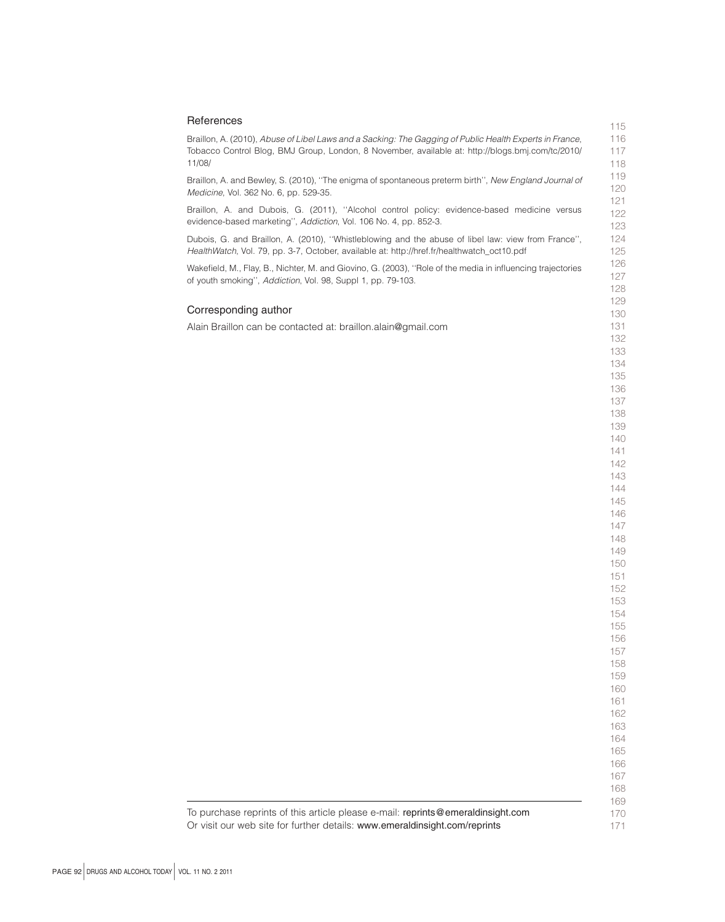| References                            |                                                                                                                                                                                                  |
|---------------------------------------|--------------------------------------------------------------------------------------------------------------------------------------------------------------------------------------------------|
|                                       | Braillon, A. (2010), Abuse of Libel Laws and a Sacking: The Gagging of Public Health Experts in France,                                                                                          |
|                                       | Tobacco Control Blog, BMJ Group, London, 8 November, available at: http://blogs.bmj.com/tc/2010/                                                                                                 |
| 11/08/                                |                                                                                                                                                                                                  |
|                                       | Braillon, A. and Bewley, S. (2010), "The enigma of spontaneous preterm birth", New England Journal of                                                                                            |
| Medicine, Vol. 362 No. 6, pp. 529-35. |                                                                                                                                                                                                  |
|                                       | Braillon, A. and Dubois, G. (2011), "Alcohol control policy: evidence-based medicine versus                                                                                                      |
|                                       | evidence-based marketing", Addiction, Vol. 106 No. 4, pp. 852-3.                                                                                                                                 |
|                                       | Dubois, G. and Braillon, A. (2010), "Whistleblowing and the abuse of libel law: view from France",<br>HealthWatch, Vol. 79, pp. 3-7, October, available at: http://href.fr/healthwatch_oct10.pdf |
|                                       | Wakefield, M., Flay, B., Nichter, M. and Giovino, G. (2003), "Role of the media in influencing trajectories<br>of youth smoking", Addiction, Vol. 98, Suppl 1, pp. 79-103.                       |
| Corresponding author                  |                                                                                                                                                                                                  |
|                                       |                                                                                                                                                                                                  |
|                                       | Alain Braillon can be contacted at: braillon.alain@gmail.com                                                                                                                                     |
|                                       |                                                                                                                                                                                                  |
|                                       |                                                                                                                                                                                                  |
|                                       |                                                                                                                                                                                                  |
|                                       |                                                                                                                                                                                                  |
|                                       |                                                                                                                                                                                                  |
|                                       |                                                                                                                                                                                                  |
|                                       |                                                                                                                                                                                                  |
|                                       |                                                                                                                                                                                                  |
|                                       |                                                                                                                                                                                                  |
|                                       |                                                                                                                                                                                                  |
|                                       |                                                                                                                                                                                                  |
|                                       |                                                                                                                                                                                                  |
|                                       |                                                                                                                                                                                                  |
|                                       |                                                                                                                                                                                                  |
|                                       |                                                                                                                                                                                                  |
|                                       |                                                                                                                                                                                                  |
|                                       |                                                                                                                                                                                                  |
|                                       |                                                                                                                                                                                                  |
|                                       |                                                                                                                                                                                                  |
|                                       |                                                                                                                                                                                                  |
|                                       |                                                                                                                                                                                                  |
|                                       |                                                                                                                                                                                                  |
|                                       |                                                                                                                                                                                                  |
|                                       |                                                                                                                                                                                                  |
|                                       |                                                                                                                                                                                                  |
|                                       |                                                                                                                                                                                                  |
|                                       |                                                                                                                                                                                                  |
|                                       |                                                                                                                                                                                                  |
|                                       |                                                                                                                                                                                                  |
|                                       |                                                                                                                                                                                                  |
|                                       |                                                                                                                                                                                                  |
|                                       |                                                                                                                                                                                                  |
|                                       |                                                                                                                                                                                                  |
|                                       |                                                                                                                                                                                                  |
|                                       |                                                                                                                                                                                                  |